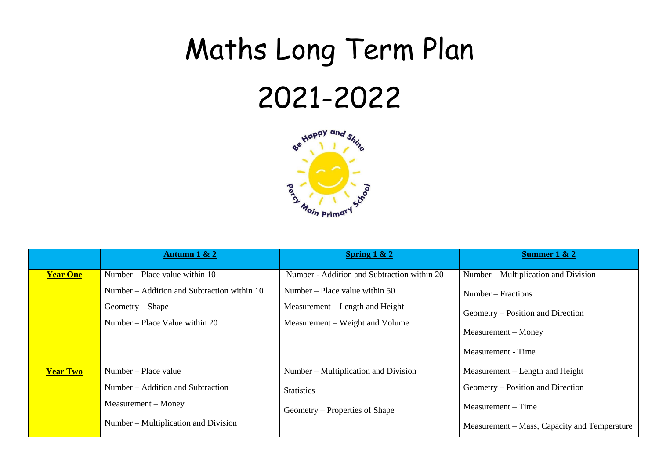## Maths Long Term Plan 2021-2022



|                 | Autumn $1 & 2$                              | Spring $1 & 2$                              | Summer $1 & 2$                               |
|-----------------|---------------------------------------------|---------------------------------------------|----------------------------------------------|
| <b>Year One</b> | Number – Place value within $10$            | Number - Addition and Subtraction within 20 | Number – Multiplication and Division         |
|                 | Number – Addition and Subtraction within 10 | Number – Place value within $50$            | Number – Fractions                           |
|                 | $Geometry - Shape$                          | Measurement – Length and Height             | Geometry – Position and Direction            |
|                 | Number – Place Value within $20$            | Measurement – Weight and Volume             | Measurement – Money<br>Measurement - Time    |
| <b>Year Two</b> | Number – Place value                        | Number – Multiplication and Division        | Measurement – Length and Height              |
|                 | Number – Addition and Subtraction           | <b>Statistics</b>                           | Geometry – Position and Direction            |
|                 | Measurement – Money                         | Geometry – Properties of Shape              | Measurement – Time                           |
|                 | Number – Multiplication and Division        |                                             | Measurement – Mass, Capacity and Temperature |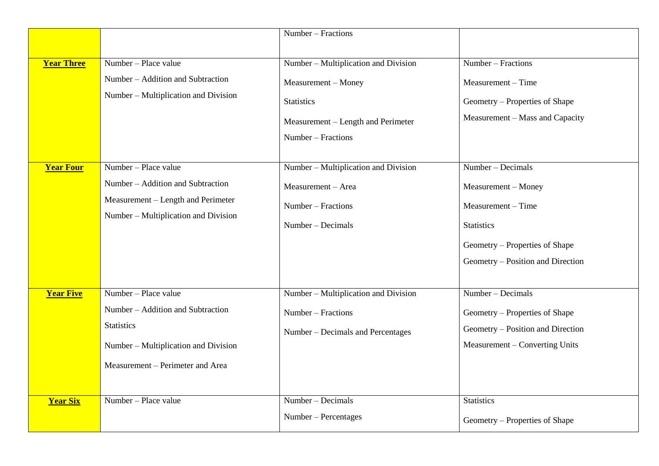|                   |                                                                                                                                                            | Number - Fractions                                                                                                                           |                                                                                                                                                            |
|-------------------|------------------------------------------------------------------------------------------------------------------------------------------------------------|----------------------------------------------------------------------------------------------------------------------------------------------|------------------------------------------------------------------------------------------------------------------------------------------------------------|
| <b>Year Three</b> | Number – Place value<br>Number - Addition and Subtraction<br>Number - Multiplication and Division                                                          | Number - Multiplication and Division<br>Measurement - Money<br><b>Statistics</b><br>Measurement - Length and Perimeter<br>Number – Fractions | $Number - Fractions$<br>Measurement – Time<br>Geometry - Properties of Shape<br>Measurement - Mass and Capacity                                            |
| <b>Year Four</b>  | Number – Place value<br>Number – Addition and Subtraction<br>Measurement – Length and Perimeter<br>Number – Multiplication and Division                    | Number - Multiplication and Division<br>Measurement - Area<br>Number - Fractions<br>Number – Decimals                                        | Number – Decimals<br>Measurement - Money<br>Measurement – Time<br><b>Statistics</b><br>Geometry - Properties of Shape<br>Geometry – Position and Direction |
| <b>Year Five</b>  | Number - Place value<br>Number – Addition and Subtraction<br><b>Statistics</b><br>Number - Multiplication and Division<br>Measurement – Perimeter and Area | Number – Multiplication and Division<br>Number - Fractions<br>Number – Decimals and Percentages                                              | Number – Decimals<br>Geometry – Properties of Shape<br>Geometry - Position and Direction<br>Measurement - Converting Units                                 |
| <b>Year Six</b>   | Number - Place value                                                                                                                                       | Number - Decimals<br>Number - Percentages                                                                                                    | <b>Statistics</b><br>Geometry – Properties of Shape                                                                                                        |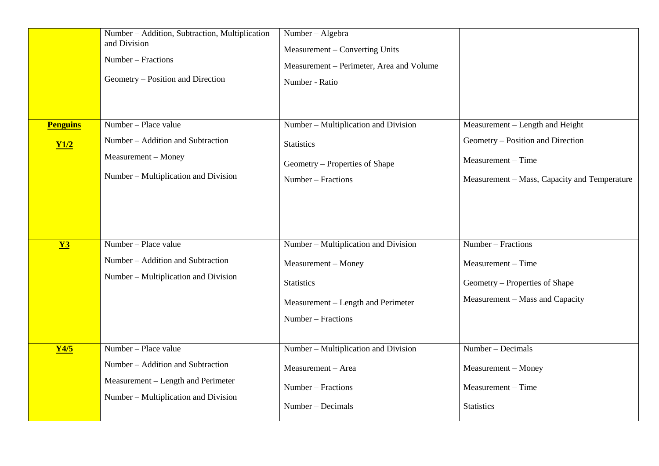| <b>Penguins</b><br>Y1/2 | Number - Addition, Subtraction, Multiplication<br>and Division<br>Number - Fractions<br>Geometry – Position and Direction<br>Number - Place value<br>Number - Addition and Subtraction<br>Measurement - Money<br>Number – Multiplication and Division | Number - Algebra<br>Measurement - Converting Units<br>Measurement – Perimeter, Area and Volume<br>Number - Ratio<br>Number – Multiplication and Division<br><b>Statistics</b><br>Geometry – Properties of Shape<br>Number - Fractions | Measurement – Length and Height<br>Geometry – Position and Direction<br>Measurement - Time<br>Measurement - Mass, Capacity and Temperature |
|-------------------------|-------------------------------------------------------------------------------------------------------------------------------------------------------------------------------------------------------------------------------------------------------|---------------------------------------------------------------------------------------------------------------------------------------------------------------------------------------------------------------------------------------|--------------------------------------------------------------------------------------------------------------------------------------------|
| $Y3$                    | Number - Place value<br>Number - Addition and Subtraction<br>Number – Multiplication and Division                                                                                                                                                     | Number – Multiplication and Division<br>Measurement - Money<br><b>Statistics</b><br>Measurement - Length and Perimeter<br>Number – Fractions                                                                                          | Number - Fractions<br>Measurement - Time<br>Geometry – Properties of Shape<br>Measurement - Mass and Capacity                              |
| Y4/5                    | Number - Place value<br>Number - Addition and Subtraction<br>Measurement - Length and Perimeter<br>Number – Multiplication and Division                                                                                                               | Number – Multiplication and Division<br>Measurement - Area<br>Number – Fractions<br>Number – Decimals                                                                                                                                 | Number - Decimals<br>Measurement - Money<br>Measurement - Time<br><b>Statistics</b>                                                        |